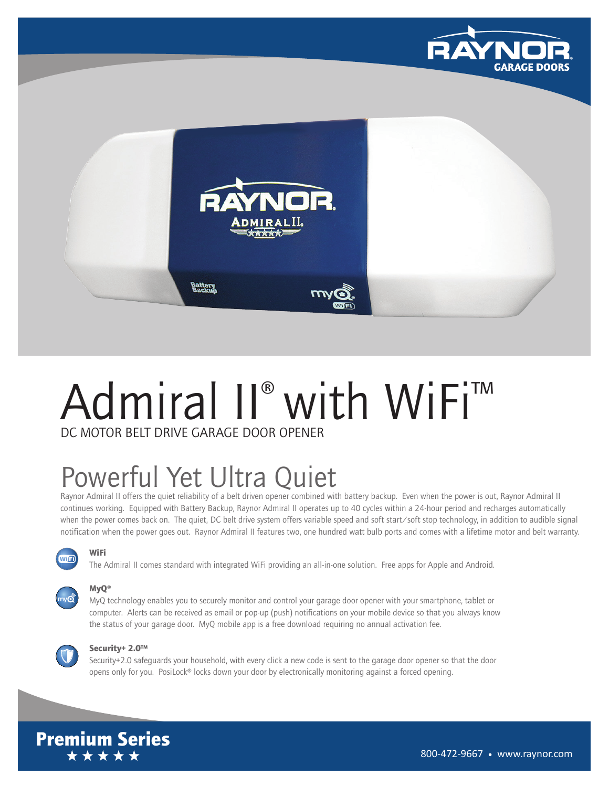



## Admiral II<sup>®</sup> with WiFi™ DC MOTOR BELT DRIVE GARAGE DOOR OPENER

# Powerful Yet Ultra Quiet

Raynor Admiral II offers the quiet reliability of a belt driven opener combined with battery backup. Even when the power is out, Raynor Admiral II continues working. Equipped with Battery Backup, Raynor Admiral II operates up to 40 cycles within a 24-hour period and recharges automatically when the power comes back on. The quiet, DC belt drive system offers variable speed and soft start/soft stop technology, in addition to audible signal notification when the power goes out. Raynor Admiral II features two, one hundred watt bulb ports and comes with a lifetime motor and belt warranty.

### WJFI)

The Admiral II comes standard with integrated WiFi providing an all-in-one solution. Free apps for Apple and Android.



### MyQ®

WiFi

MyQ technology enables you to securely monitor and control your garage door opener with your smartphone, tablet or computer. Alerts can be received as email or pop-up (push) notifications on your mobile device so that you always know the status of your garage door. MyQ mobile app is a free download requiring no annual activation fee.

#### Security+ 2.0™

Security+2.0 safeguards your household, with every click a new code is sent to the garage door opener so that the door opens only for you. PosiLock® locks down your door by electronically monitoring against a forced opening.